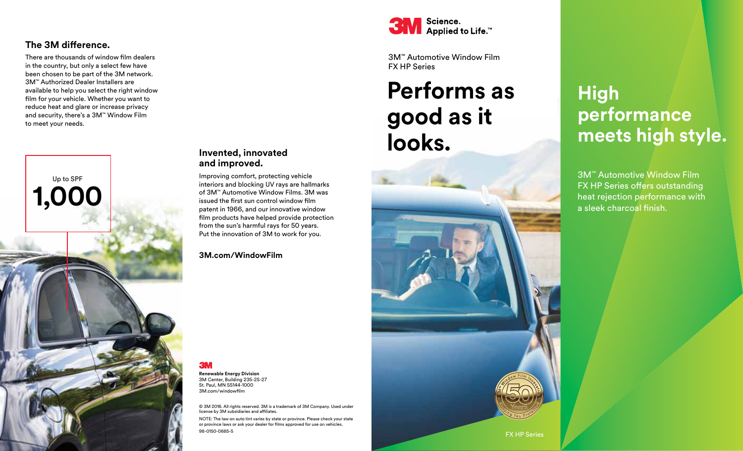#### **The 3M difference.**

There are thousands of window film dealers in the country, but only a select few have been chosen to be part of the 3M network. 3M™ Authorized Dealer Installers are available to help you select the right window film for your vehicle. Whether you want to reduce heat and glare or increase privacy and security, there's a 3M™ Window Film to meet your needs.



#### **Invented, innovated and improved.**

Improving comfort, protecting vehicle interiors and blocking UV rays are hallmarks of 3M™ Automotive Window Films. 3M was issued the first sun control window film patent in 1966, and our innovative window film products have helped provide protection from the sun's harmful rays for 50 years. Put the innovation of 3M to work for you.

**3M.com/WindowFilm**

## 3M

**Renewable Energy Division** 3M Center, Building 235-2S-27 St. Paul, MN 55144-1000 3M.com/windowfilm

© 3M 2016. All rights reserved. 3M is a trademark of 3M Company. Used under license by 3M subsidiaries and affiliates.

NOTE: The law on auto tint varies by state or province. Please check your state or province laws or ask your dealer for films approved for use on vehicles. 98-0150-0685-5



3M™ Automotive Window Film FX HP Series

# **Performs as good as it looks.**



## **High performance meets high style.**

3M™ Automotive Window Film FX HP Series offers outstanding heat rejection performance with a sleek charcoal finish.